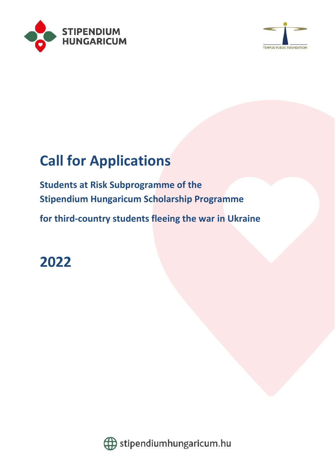



# **Call for Applications**

**Students at Risk Subprogramme of the Stipendium Hungaricum Scholarship Programme**

**for third-country students fleeing the war in Ukraine**

**2022**



Stipendiumhungaricum.hu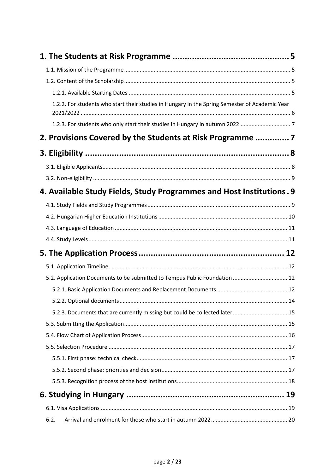| 1.2.2. For students who start their studies in Hungary in the Spring Semester of Academic Year |  |
|------------------------------------------------------------------------------------------------|--|
|                                                                                                |  |
|                                                                                                |  |
| 2. Provisions Covered by the Students at Risk Programme                                        |  |
|                                                                                                |  |
|                                                                                                |  |
|                                                                                                |  |
| 4. Available Study Fields, Study Programmes and Host Institutions. 9                           |  |
|                                                                                                |  |
|                                                                                                |  |
|                                                                                                |  |
|                                                                                                |  |
|                                                                                                |  |
|                                                                                                |  |
| 5.2. Application Documents to be submitted to Tempus Public Foundation  12                     |  |
|                                                                                                |  |
|                                                                                                |  |
| 5.2.3. Documents that are currently missing but could be collected later 15                    |  |
|                                                                                                |  |
|                                                                                                |  |
|                                                                                                |  |
|                                                                                                |  |
|                                                                                                |  |
|                                                                                                |  |
|                                                                                                |  |
|                                                                                                |  |
| 6.2.                                                                                           |  |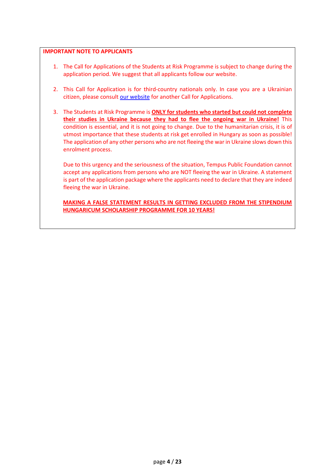#### **IMPORTANT NOTE TO APPLICANTS**

- 1. The Call for Applications of the Students at Risk Programme is subject to change during the application period. We suggest that all applicants follow our website.
- 2. This Call for Application is for third-country nationals only. In case you are a Ukrainian citizen, please consult [our website](https://stipendiumhungaricum.hu/studentsatrisk/) for another Call for Applications.
- 3. The Students at Risk Programme is **ONLY for students who started but could not complete their studies in Ukraine because they had to flee the ongoing war in Ukraine!** This condition is essential, and it is not going to change. Due to the humanitarian crisis, it is of utmost importance that these students at risk get enrolled in Hungary as soon as possible! The application of any other persons who are not fleeing the war in Ukraine slows down this enrolment process.

Due to this urgency and the seriousness of the situation, Tempus Public Foundation cannot accept any applications from persons who are NOT fleeing the war in Ukraine. A statement is part of the application package where the applicants need to declare that they are indeed fleeing the war in Ukraine.

**MAKING A FALSE STATEMENT RESULTS IN GETTING EXCLUDED FROM THE STIPENDIUM HUNGARICUM SCHOLARSHIP PROGRAMME FOR 10 YEARS!**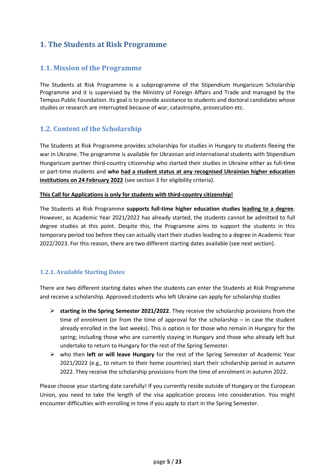## <span id="page-4-0"></span>**1. The Students at Risk Programme**

## <span id="page-4-1"></span>**1.1. Mission of the Programme**

The Students at Risk Programme is a subprogramme of the Stipendium Hungaricum Scholarship Programme and it is supervised by the Ministry of Foreign Affairs and Trade and managed by the Tempus Public Foundation. Its goal is to provide assistance to students and doctoral candidates whose studies or research are interrupted because of war, catastrophe, prosecution etc.

## <span id="page-4-2"></span>**1.2. Content of the Scholarship**

The Students at Risk Programme provides scholarships for studies in Hungary to students fleeing the war in Ukraine. The programme is available for Ukrainian and international students with Stipendium Hungaricum partner third-country citizenship who started their studies in Ukraine either as full-time or part-time students and **who had a student status at any recognised Ukrainian higher education institutions on 24 February 2022** (see section 3 for eligibility criteria).

#### **This Call for Applications is only for students with third-country citizenship!**

The Students at Risk Programme **supports full-time higher education studies leading to a degree**. However, as Academic Year 2021/2022 has already started, the students cannot be admitted to full degree studies at this point. Despite this, the Programme aims to support the students in this temporary period too before they can actually start their studies leading to a degree in Academic Year 2022/2023. For this reason, there are two different starting dates available (see next section).

#### <span id="page-4-3"></span>**1.2.1. Available Starting Dates**

There are two different starting dates when the students can enter the Students at Risk Programme and receive a scholarship. Approved students who left Ukraine can apply for scholarship studies

- ➢ **starting in the Spring Semester 2021/2022**. They receive the scholarship provisions from the time of enrolment (or from the time of approval for the scholarship – in case the student already enrolled in the last weeks). This is option is for those who remain in Hungary for the spring; including those who are currently staying in Hungary and those who already left but undertake to return to Hungary for the rest of the Spring Semester.
- ➢ who then **left or will leave Hungary** for the rest of the Spring Semester of Academic Year 2021/2022 (e.g., to return to their home countries) start their scholarship period in autumn 2022. They receive the scholarship provisions from the time of enrolment in autumn 2022.

Please choose your starting date carefully! If you currently reside outside of Hungary or the European Union, you need to take the length of the visa application process into consideration. You might encounter difficulties with enrolling in time if you apply to start in the Spring Semester.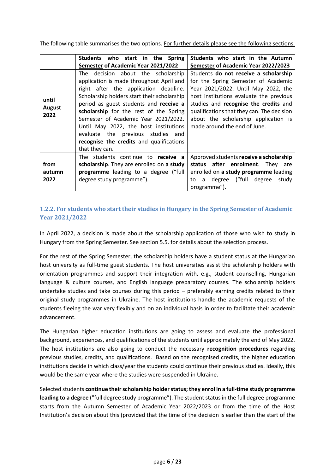The following table summarises the two options. For further details please see the following sections.

|                                | Students who start in the Spring                                                                                                                                                                                                                                                                                                                                                                                                                                                                                                                                                                                                                                                                                                                                                   | Students who start in the Autumn                                                                                                                                                    |
|--------------------------------|------------------------------------------------------------------------------------------------------------------------------------------------------------------------------------------------------------------------------------------------------------------------------------------------------------------------------------------------------------------------------------------------------------------------------------------------------------------------------------------------------------------------------------------------------------------------------------------------------------------------------------------------------------------------------------------------------------------------------------------------------------------------------------|-------------------------------------------------------------------------------------------------------------------------------------------------------------------------------------|
|                                | Semester of Academic Year 2021/2022                                                                                                                                                                                                                                                                                                                                                                                                                                                                                                                                                                                                                                                                                                                                                | Semester of Academic Year 2022/2023                                                                                                                                                 |
| until<br><b>August</b><br>2022 | The decision about the scholarship<br>Students do not receive a scholarship<br>application is made throughout April and<br>for the Spring Semester of Academic<br>right after the application deadline.<br>Year 2021/2022. Until May 2022, the<br>Scholarship holders start their scholarship<br>host institutions evaluate the previous<br>period as guest students and receive a<br>studies and recognise the credits and<br>scholarship for the rest of the Spring<br>qualifications that they can. The decision<br>Semester of Academic Year 2021/2022.<br>about the scholarship application is<br>made around the end of June.<br>Until May 2022, the host institutions<br>evaluate the previous studies<br>and<br>recognise the credits and qualifications<br>that they can. |                                                                                                                                                                                     |
| from<br>autumn<br>2022         | The students continue to receive a<br>scholarship. They are enrolled on a study<br>programme leading to a degree ("full<br>degree study programme").                                                                                                                                                                                                                                                                                                                                                                                                                                                                                                                                                                                                                               | Approved students receive a scholarship<br>status after enrolment. They<br>are<br>enrolled on a study programme leading<br>degree ("full degree<br>study<br>to<br>a<br>programme"). |

#### <span id="page-5-0"></span>**1.2.2. For students who start their studies in Hungary in the Spring Semester of Academic Year 2021/2022**

In April 2022, a decision is made about the scholarship application of those who wish to study in Hungary from the Spring Semester. See section 5.5. for details about the selection process.

For the rest of the Spring Semester, the scholarship holders have a student status at the Hungarian host university as full-time guest students. The host universities assist the scholarship holders with orientation programmes and support their integration with, e.g., student counselling, Hungarian language & culture courses, and English language preparatory courses. The scholarship holders undertake studies and take courses during this period – preferably earning credits related to their original study programmes in Ukraine. The host institutions handle the academic requests of the students fleeing the war very flexibly and on an individual basis in order to facilitate their academic advancement.

The Hungarian higher education institutions are going to assess and evaluate the professional background, experiences, and qualifications of the students until approximately the end of May 2022. The host institutions are also going to conduct the necessary **recognition procedures** regarding previous studies, credits, and qualifications. Based on the recognised credits, the higher education institutions decide in which class/year the students could continue their previous studies. Ideally, this would be the same year where the studies were suspended in Ukraine.

Selected students **continue their scholarship holder status; they enrol in a full-time study programme leading to a degree** ("full degree study programme"). The student status in the full degree programme starts from the Autumn Semester of Academic Year 2022/2023 or from the time of the Host Institution's decision about this (provided that the time of the decision is earlier than the start of the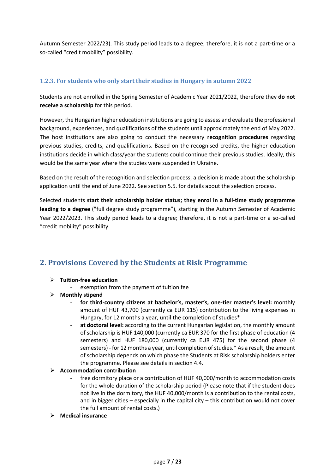Autumn Semester 2022/23). This study period leads to a degree; therefore, it is not a part-time or a so-called "credit mobility" possibility.

#### <span id="page-6-0"></span>**1.2.3. For students who only start their studies in Hungary in autumn 2022**

Students are not enrolled in the Spring Semester of Academic Year 2021/2022, therefore they **do not receive a scholarship** for this period.

However, the Hungarian higher education institutions are going to assess and evaluate the professional background, experiences, and qualifications of the students until approximately the end of May 2022. The host institutions are also going to conduct the necessary **recognition procedures** regarding previous studies, credits, and qualifications. Based on the recognised credits, the higher education institutions decide in which class/year the students could continue their previous studies. Ideally, this would be the same year where the studies were suspended in Ukraine.

Based on the result of the recognition and selection process, a decision is made about the scholarship application until the end of June 2022. See section 5.5. for details about the selection process.

Selected students **start their scholarship holder status; they enrol in a full-time study programme leading to a degree** ("full degree study programme"), starting in the Autumn Semester of Academic Year 2022/2023. This study period leads to a degree; therefore, it is not a part-time or a so-called "credit mobility" possibility.

## <span id="page-6-1"></span>**2. Provisions Covered by the Students at Risk Programme**

- ➢ **Tuition-free education**
	- exemption from the payment of tuition fee
- ➢ **Monthly stipend**
	- **for third-country citizens at bachelor's, master's, one-tier master's level:** monthly amount of HUF 43,700 (currently ca EUR 115) contribution to the living expenses in Hungary, for 12 months a year, until the completion of studies\*
	- at **doctoral level:** according to the current Hungarian legislation, the monthly amount of scholarship is HUF 140,000 (currently ca EUR 370 for the first phase of education (4 semesters) and HUF 180,000 (currently ca EUR 475) for the second phase (4 semesters) - for 12 months a year, until completion of studies.\* As a result, the amount of scholarship depends on which phase the Students at Risk scholarship holders enter the programme. Please see details in section 4.4.

#### ➢ **Accommodation contribution**

- free dormitory place or a contribution of HUF 40,000/month to accommodation costs for the whole duration of the scholarship period (Please note that if the student does not live in the dormitory, the HUF 40,000/month is a contribution to the rental costs, and in bigger cities – especially in the capital city – this contribution would not cover the full amount of rental costs.)
- ➢ **Medical insurance**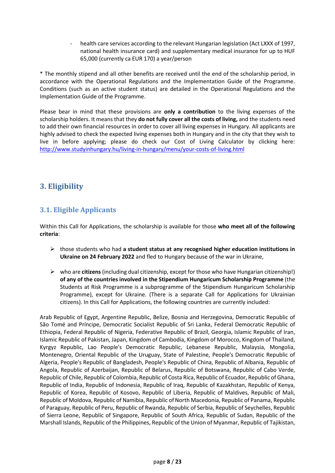health care services according to the relevant Hungarian legislation (Act LXXX of 1997, national health insurance card) and supplementary medical insurance for up to HUF 65,000 (currently ca EUR 170) a year/person

\* The monthly stipend and all other benefits are received until the end of the scholarship period, in accordance with the Operational Regulations and the Implementation Guide of the Programme. Conditions (such as an active student status) are detailed in the Operational Regulations and the Implementation Guide of the Programme.

Please bear in mind that these provisions are **only a contribution** to the living expenses of the scholarship holders. It means that they **do not fully cover all the costs of living,** and the students need to add their own financial resources in order to cover all living expenses in Hungary. All applicants are highly advised to check the expected living expenses both in Hungary and in the city that they wish to live in before applying; please do check our Cost of Living Calculator by clicking here: <http://www.studyinhungary.hu/living-in-hungary/menu/your-costs-of-living.html>

# <span id="page-7-0"></span>**3. Eligibility**

## <span id="page-7-1"></span>**3.1. Eligible Applicants**

Within this Call for Applications, the scholarship is available for those **who meet all of the following criteria**:

- ➢ those students who had **a student status at any recognised higher education institutions in Ukraine on 24 February 2022** and fled to Hungary because of the war in Ukraine,
- ➢ who are **citizens** (including dual citizenship, except for those who have Hungarian citizenship!) **of any of the countries involved in the Stipendium Hungaricum Scholarship Programme** (the Students at Risk Programme is a subprogramme of the Stipendium Hungaricum Scholarship Programme), except for Ukraine. (There is a separate Call for Applications for Ukrainian citizens). In this Call for Applications, the following countries are currently included:

Arab Republic of Egypt, Argentine Republic, Belize, Bosnia and Herzegovina, Democratic Republic of São Tomé and Príncipe, Democratic Socialist Republic of Sri Lanka, Federal Democratic Republic of Ethiopia, Federal Republic of Nigeria, Federative Republic of Brazil, Georgia, Islamic Republic of Iran, Islamic Republic of Pakistan, Japan, Kingdom of Cambodia, Kingdom of Morocco, Kingdom of Thailand, Kyrgyz Republic, Lao People's Democratic Republic, Lebanese Republic, Malaysia, Mongolia, Montenegro, Oriental Republic of the Uruguay, State of Palestine, People's Democratic Republic of Algeria, People's Republic of Bangladesh, People's Republic of China, Republic of Albania, Republic of Angola, Republic of Azerbaijan, Republic of Belarus, Republic of Botswana, Republic of Cabo Verde, Republic of Chile, Republic of Colombia, Republic of Costa Rica, Republic of Ecuador, Republic of Ghana, Republic of India, Republic of Indonesia, Republic of Iraq, Republic of Kazakhstan, Republic of Kenya, Republic of Korea, Republic of Kosovo, Republic of Liberia, Republic of Maldives, Republic of Mali, Republic of Moldova, Republic of Namibia, Republic of North Macedonia, Republic of Panama, Republic of Paraguay, Republic of Peru, Republic of Rwanda, Republic of Serbia, Republic of Seychelles, Republic of Sierra Leone, Republic of Singapore, Republic of South Africa, Republic of Sudan, Republic of the Marshall Islands, Republic of the Philippines, Republic of the Union of Myanmar, Republic of Tajikistan,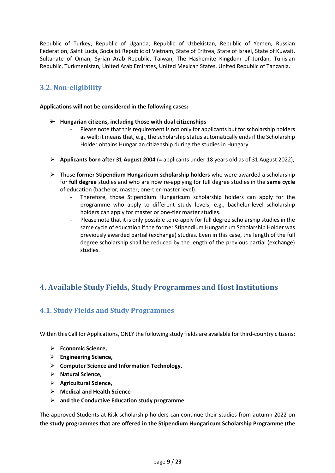Republic of Turkey, Republic of Uganda, Republic of Uzbekistan, Republic of Yemen, Russian Federation, Saint Lucia, Socialist Republic of Vietnam, State of Eritrea, State of Israel, State of Kuwait, Sultanate of Oman, Syrian Arab Republic, Taiwan, The Hashemite Kingdom of Jordan, Tunisian Republic, Turkmenistan, United Arab Emirates, United Mexican States, United Republic of Tanzania.

## <span id="page-8-0"></span>**3.2. Non-eligibility**

**Applications will not be considered in the following cases:**

- ➢ **Hungarian citizens, including those with dual citizenships**
	- Please note that this requirement is not only for applicants but for scholarship holders as well; it means that, e.g., the scholarship status automatically ends if the Scholarship Holder obtains Hungarian citizenship during the studies in Hungary.
- ➢ **Applicants born after 31 August 2004** (= applicants under 18 years old as of 31 August 2022),
- ➢ Those **former Stipendium Hungaricum scholarship holders** who were awarded a scholarship for **full degree** studies and who are now re-applying for full degree studies in the **same cycle** of education (bachelor, master, one-tier master level).
	- Therefore, those Stipendium Hungaricum scholarship holders can apply for the programme who apply to different study levels, e.g., bachelor-level scholarship holders can apply for master or one-tier master studies.
	- Please note that it is only possible to re-apply for full degree scholarship studies in the same cycle of education if the former Stipendium Hungaricum Scholarship Holder was previously awarded partial (exchange) studies. Even in this case, the length of the full degree scholarship shall be reduced by the length of the previous partial (exchange) studies.

# <span id="page-8-1"></span>**4. Available Study Fields, Study Programmes and Host Institutions**

## <span id="page-8-2"></span>**4.1. Study Fields and Study Programmes**

Within this Call for Applications, ONLY the following study fields are available for third-country citizens:

- ➢ **Economic Science,**
- ➢ **Engineering Science,**
- ➢ **Computer Science and Information Technology,**
- ➢ **Natural Science,**
- ➢ **Agricultural Science,**
- ➢ **Medical and Health Science**
- ➢ **and the Conductive Education study programme**

The approved Students at Risk scholarship holders can continue their studies from autumn 2022 on **the study programmes that are offered in the Stipendium Hungaricum Scholarship Programme** (the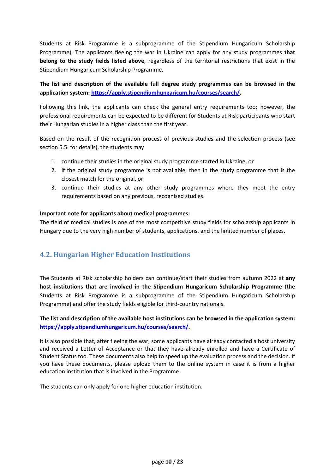Students at Risk Programme is a subprogramme of the Stipendium Hungaricum Scholarship Programme). The applicants fleeing the war in Ukraine can apply for any study programmes **that belong to the study fields listed above**, regardless of the territorial restrictions that exist in the Stipendium Hungaricum Scholarship Programme.

**The list and description of the available full degree study programmes can be browsed in the application system: [https://apply.stipendiumhungaricum.hu/courses/search/.](https://apply.stipendiumhungaricum.hu/courses/search/)**

Following this link, the applicants can check the general entry requirements too; however, the professional requirements can be expected to be different for Students at Risk participants who start their Hungarian studies in a higher class than the first year.

Based on the result of the recognition process of previous studies and the selection process (see section 5.5. for details), the students may

- 1. continue their studies in the original study programme started in Ukraine, or
- 2. if the original study programme is not available, then in the study programme that is the closest match for the original, or
- 3. continue their studies at any other study programmes where they meet the entry requirements based on any previous, recognised studies.

#### **Important note for applicants about medical programmes:**

The field of medical studies is one of the most competitive study fields for scholarship applicants in Hungary due to the very high number of students, applications, and the limited number of places.

## <span id="page-9-0"></span>**4.2. Hungarian Higher Education Institutions**

The Students at Risk scholarship holders can continue/start their studies from autumn 2022 at **any host institutions that are involved in the Stipendium Hungaricum Scholarship Programme** (the Students at Risk Programme is a subprogramme of the Stipendium Hungaricum Scholarship Programme) and offer the study fields eligible for third-country nationals.

**The list and description of the available host institutions can be browsed in the application system: [https://apply.stipendiumhungaricum.hu/courses/search/.](https://apply.stipendiumhungaricum.hu/courses/search/)**

It is also possible that, after fleeing the war, some applicants have already contacted a host university and received a Letter of Acceptance or that they have already enrolled and have a Certificate of Student Status too. These documents also help to speed up the evaluation process and the decision. If you have these documents, please upload them to the online system in case it is from a higher education institution that is involved in the Programme.

The students can only apply for one higher education institution.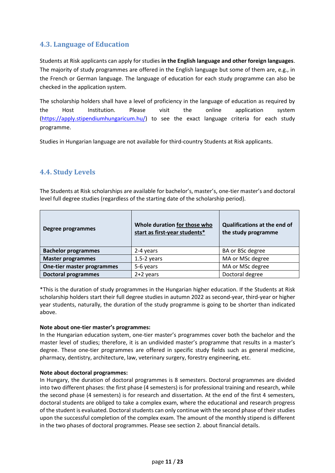## <span id="page-10-0"></span>**4.3. Language of Education**

Students at Risk applicants can apply for studies **in the English language and other foreign languages**. The majority of study programmes are offered in the English language but some of them are, e.g., in the French or German language. The language of education for each study programme can also be checked in the application system.

The scholarship holders shall have a level of proficiency in the language of education as required by the Host Institution. Please visit the online application system [\(https://apply.stipendiumhungaricum.hu/\)](https://apply.stipendiumhungaricum.hu/) to see the exact language criteria for each study programme.

Studies in Hungarian language are not available for third-country Students at Risk applicants.

## <span id="page-10-1"></span>**4.4. Study Levels**

The Students at Risk scholarships are available for bachelor's, master's, one-tier master's and doctoral level full degree studies (regardless of the starting date of the scholarship period).

| Degree programmes          | Whole duration for those who<br>start as first-year students* | <b>Qualifications at the end of</b><br>the study programme |
|----------------------------|---------------------------------------------------------------|------------------------------------------------------------|
| <b>Bachelor programmes</b> | 2-4 years                                                     | BA or BSc degree                                           |
| <b>Master programmes</b>   | $1.5-2$ years                                                 | MA or MSc degree                                           |
| One-tier master programmes | 5-6 years                                                     | MA or MSc degree                                           |
| <b>Doctoral programmes</b> | $2+2$ years                                                   | Doctoral degree                                            |

\*This is the duration of study programmes in the Hungarian higher education. If the Students at Risk scholarship holders start their full degree studies in autumn 2022 as second-year, third-year or higher year students, naturally, the duration of the study programme is going to be shorter than indicated above.

#### **Note about one-tier master's programmes:**

In the Hungarian education system, one-tier master's programmes cover both the bachelor and the master level of studies; therefore, it is an undivided master's programme that results in a master's degree. These one-tier programmes are offered in specific study fields such as general medicine, pharmacy, dentistry, architecture, law, veterinary surgery, forestry engineering, etc.

#### **Note about doctoral programmes:**

In Hungary, the duration of doctoral programmes is 8 semesters. Doctoral programmes are divided into two different phases: the first phase (4 semesters) is for professional training and research, while the second phase (4 semesters) is for research and dissertation. At the end of the first 4 semesters, doctoral students are obliged to take a complex exam, where the educational and research progress of the student is evaluated. Doctoral students can only continue with the second phase of their studies upon the successful completion of the complex exam. The amount of the monthly stipend is different in the two phases of doctoral programmes. Please see section 2. about financial details.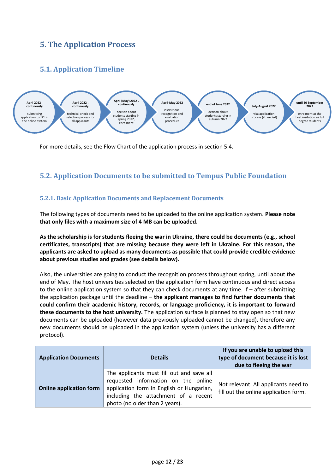# <span id="page-11-0"></span>**5. The Application Process**

## <span id="page-11-1"></span>**5.1. Application Timeline**



For more details, see the Flow Chart of the application process in section 5.4.

## <span id="page-11-2"></span>**5.2. Application Documents to be submitted to Tempus Public Foundation**

#### <span id="page-11-3"></span>**5.2.1. Basic Application Documents and Replacement Documents**

The following types of documents need to be uploaded to the online application system. **Please note that only files with a maximum size of 4 MB can be uploaded.**

**As the scholarship is for students fleeing the war in Ukraine, there could be documents (e.g., school certificates, transcripts) that are missing because they were left in Ukraine. For this reason, the applicants are asked to upload as many documents as possible that could provide credible evidence about previous studies and grades (see details below).**

Also, the universities are going to conduct the recognition process throughout spring, until about the end of May. The host universities selected on the application form have continuous and direct access to the online application system so that they can check documents at any time. If – after submitting the application package until the deadline – **the applicant manages to find further documents that could confirm their academic history, records, or language proficiency, it is important to forward these documents to the host university.** The application surface is planned to stay open so that new documents can be uploaded (however data previously uploaded cannot be changed), therefore any new documents should be uploaded in the application system (unless the university has a different protocol).

| <b>Application Documents</b>   | <b>Details</b>                                                                                                                                                                                          | If you are unable to upload this<br>type of document because it is lost<br>due to fleeing the war |
|--------------------------------|---------------------------------------------------------------------------------------------------------------------------------------------------------------------------------------------------------|---------------------------------------------------------------------------------------------------|
| <b>Online application form</b> | The applicants must fill out and save all<br>requested information on the online<br>application form in English or Hungarian,<br>including the attachment of a recent<br>photo (no older than 2 years). | Not relevant. All applicants need to<br>fill out the online application form.                     |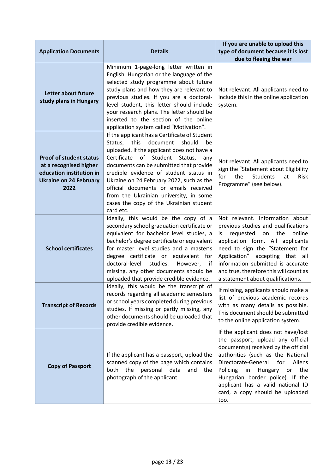| <b>Application Documents</b>                                                                                                  | <b>Details</b>                                                                                                                                                                                                                                                                                                                                                                                                                                                     | If you are unable to upload this<br>type of document because it is lost<br>due to fleeing the war                                                                                                                                                                                                                                                           |
|-------------------------------------------------------------------------------------------------------------------------------|--------------------------------------------------------------------------------------------------------------------------------------------------------------------------------------------------------------------------------------------------------------------------------------------------------------------------------------------------------------------------------------------------------------------------------------------------------------------|-------------------------------------------------------------------------------------------------------------------------------------------------------------------------------------------------------------------------------------------------------------------------------------------------------------------------------------------------------------|
| Letter about future<br>study plans in Hungary                                                                                 | Minimum 1-page-long letter written in<br>English, Hungarian or the language of the<br>selected study programme about future<br>study plans and how they are relevant to<br>previous studies. If you are a doctoral-<br>level student, this letter should include<br>your research plans. The letter should be<br>inserted to the section of the online<br>application system called "Motivation".                                                                  | Not relevant. All applicants need to<br>include this in the online application<br>system.                                                                                                                                                                                                                                                                   |
| <b>Proof of student status</b><br>at a recognised higher<br>education institution in<br><b>Ukraine on 24 February</b><br>2022 | If the applicant has a Certificate of Student<br>document<br>should<br>Status,<br>this<br>be<br>uploaded. If the applicant does not have a<br>Certificate of Student<br>Status,<br>any<br>documents can be submitted that provide<br>credible evidence of student status in<br>Ukraine on 24 February 2022, such as the<br>official documents or emails received<br>from the Ukrainian university, in some<br>cases the copy of the Ukrainian student<br>card etc. | Not relevant. All applicants need to<br>sign the "Statement about Eligibility<br><b>Students</b><br>for<br>the<br>Risk<br>at<br>Programme" (see below).                                                                                                                                                                                                     |
| <b>School certificates</b>                                                                                                    | Ideally, this would be the copy of a<br>secondary school graduation certificate or<br>equivalent for bachelor level studies, a<br>bachelor's degree certificate or equivalent<br>for master level studies and a master's<br>degree certificate or equivalent for<br>doctoral-level<br>studies.<br>However,<br>if<br>missing, any other documents should be<br>uploaded that provide credible evidence.                                                             | Not relevant. Information about<br>previous studies and qualifications<br>online<br>requested<br>on<br>the<br>is<br>application form. All applicants<br>need to sign the "Statement for<br>Application"<br>accepting that<br>all<br>information submitted is accurate<br>and true, therefore this will count as<br>a statement about qualifications.        |
| <b>Transcript of Records</b>                                                                                                  | Ideally, this would be the transcript of<br>records regarding all academic semesters<br>or school years completed during previous<br>studies. If missing or partly missing, any<br>other documents should be uploaded that<br>provide credible evidence.                                                                                                                                                                                                           | If missing, applicants should make a<br>list of previous academic records<br>with as many details as possible.<br>This document should be submitted<br>to the online application system.                                                                                                                                                                    |
| <b>Copy of Passport</b>                                                                                                       | If the applicant has a passport, upload the<br>scanned copy of the page which contains<br>the personal data<br>and<br>both<br>the<br>photograph of the applicant.                                                                                                                                                                                                                                                                                                  | If the applicant does not have/lost<br>the passport, upload any official<br>document(s) received by the official<br>authorities (such as the National<br>Directorate-General<br>for<br>Aliens<br>Policing<br>Hungary<br>the<br>in<br>or<br>Hungarian border police). If the<br>applicant has a valid national ID<br>card, a copy should be uploaded<br>too. |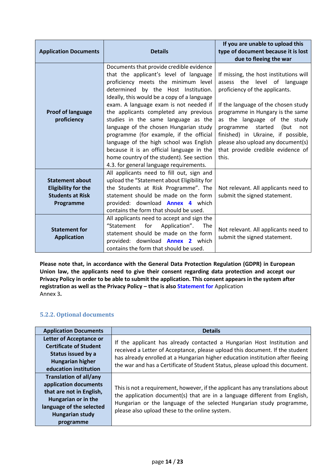| <b>Application Documents</b>                                                                 | <b>Details</b>                                                                                                                                                                                                                                                                                                                                                                                                                                                                                                                                                                                                 | If you are unable to upload this<br>type of document because it is lost<br>due to fleeing the war                                                                                                                                                                                                                                                                                    |
|----------------------------------------------------------------------------------------------|----------------------------------------------------------------------------------------------------------------------------------------------------------------------------------------------------------------------------------------------------------------------------------------------------------------------------------------------------------------------------------------------------------------------------------------------------------------------------------------------------------------------------------------------------------------------------------------------------------------|--------------------------------------------------------------------------------------------------------------------------------------------------------------------------------------------------------------------------------------------------------------------------------------------------------------------------------------------------------------------------------------|
| <b>Proof of language</b><br>proficiency                                                      | Documents that provide credible evidence<br>that the applicant's level of language<br>proficiency meets the minimum level<br>determined by the Host Institution.<br>Ideally, this would be a copy of a language<br>exam. A language exam is not needed if<br>the applicants completed any previous<br>studies in the same language as the<br>language of the chosen Hungarian study<br>programme (for example, if the official<br>language of the high school was English<br>because it is an official language in the<br>home country of the student). See section<br>4.3. for general language requirements. | If missing, the host institutions will<br>assess the level of language<br>proficiency of the applicants.<br>If the language of the chosen study<br>programme in Hungary is the same<br>as the language of the study<br>(but<br>programme<br>started<br>not<br>finished) in Ukraine, if possible,<br>please also upload any document(s)<br>that provide credible evidence of<br>this. |
| <b>Statement about</b><br><b>Eligibility for the</b><br><b>Students at Risk</b><br>Programme | All applicants need to fill out, sign and<br>upload the "Statement about Eligibility for<br>the Students at Risk Programme". The<br>statement should be made on the form<br>provided: download <b>Annex 4</b> which<br>contains the form that should be used.                                                                                                                                                                                                                                                                                                                                                  | Not relevant. All applicants need to<br>submit the signed statement.                                                                                                                                                                                                                                                                                                                 |
| <b>Statement for</b><br><b>Application</b>                                                   | All applicants need to accept and sign the<br>for<br>Application". The<br>"Statement<br>statement should be made on the form<br>provided: download <b>Annex 2</b> which<br>contains the form that should be used.                                                                                                                                                                                                                                                                                                                                                                                              | Not relevant. All applicants need to<br>submit the signed statement.                                                                                                                                                                                                                                                                                                                 |

**Please note that, in accordance with the General Data Protection Regulation (GDPR) in European Union law, the applicants need to give their consent regarding data protection and accept our Privacy Policy in order to be able to submit the application. This consent appears in the system after registration as well as the Privacy Policy – that is als[o Statement for](#page-22-3)** Application [Annex 3](#page-22-3)**.** 

#### <span id="page-13-0"></span>**5.2.2. Optional documents**

| <b>Application Documents</b>                                                                                                                                                 | <b>Details</b>                                                                                                                                                                                                                                                                                                             |
|------------------------------------------------------------------------------------------------------------------------------------------------------------------------------|----------------------------------------------------------------------------------------------------------------------------------------------------------------------------------------------------------------------------------------------------------------------------------------------------------------------------|
| <b>Letter of Acceptance or</b><br><b>Certificate of Student</b><br>Status issued by a<br><b>Hungarian higher</b><br>education institution                                    | If the applicant has already contacted a Hungarian Host Institution and<br>received a Letter of Acceptance, please upload this document. If the student<br>has already enrolled at a Hungarian higher education institution after fleeing<br>the war and has a Certificate of Student Status, please upload this document. |
| <b>Translation of all/any</b><br>application documents<br>that are not in English,<br>Hungarian or in the<br>language of the selected<br><b>Hungarian study</b><br>programme | This is not a requirement, however, if the applicant has any translations about<br>the application document(s) that are in a language different from English,<br>Hungarian or the language of the selected Hungarian study programme,<br>please also upload these to the online system.                                    |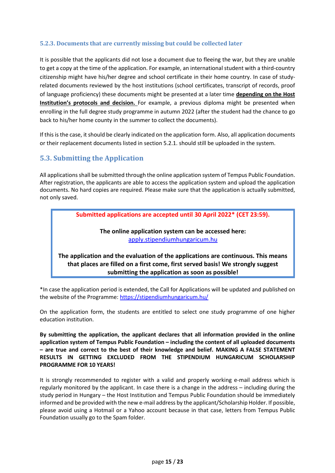#### <span id="page-14-0"></span>**5.2.3. Documents that are currently missing but could be collected later**

It is possible that the applicants did not lose a document due to fleeing the war, but they are unable to get a copy at the time of the application. For example, an international student with a third-country citizenship might have his/her degree and school certificate in their home country. In case of studyrelated documents reviewed by the host institutions (school certificates, transcript of records, proof of language proficiency) these documents might be presented at a later time **depending on the Host Institution's protocols and decision.** For example, a previous diploma might be presented when enrolling in the full degree study programme in autumn 2022 (after the student had the chance to go back to his/her home county in the summer to collect the documents).

If this is the case, it should be clearly indicated on the application form. Also, all application documents or their replacement documents listed in section 5.2.1. should still be uploaded in the system.

## <span id="page-14-1"></span>**5.3. Submitting the Application**

All applications shall be submitted through the online application system of Tempus Public Foundation. After registration, the applicants are able to access the application system and upload the application documents. No hard copies are required. Please make sure that the application is actually submitted, not only saved.

#### **Submitted applications are accepted until 30 April 2022\* (CET 23:59).**

#### **The online application system can be accessed here:**  [apply.stipendiumhungaricum.hu](https://apply.stipendiumhungaricum.hu/)

#### **The application and the evaluation of the applications are continuous. This means that places are filled on a first come, first served basis! We strongly suggest submitting the application as soon as possible!**

\*In case the application period is extended, the Call for Applications will be updated and published on the website of the Programme:<https://stipendiumhungaricum.hu/>

On the application form, the students are entitled to select one study programme of one higher education institution.

**By submitting the application, the applicant declares that all information provided in the online application system of Tempus Public Foundation – including the content of all uploaded documents – are true and correct to the best of their knowledge and belief. MAKING A FALSE STATEMENT RESULTS IN GETTING EXCLUDED FROM THE STIPENDIUM HUNGARICUM SCHOLARSHIP PROGRAMME FOR 10 YEARS!**

It is strongly recommended to register with a valid and properly working e-mail address which is regularly monitored by the applicant. In case there is a change in the address – including during the study period in Hungary – the Host Institution and Tempus Public Foundation should be immediately informed and be provided with the new e-mail address by the applicant/Scholarship Holder. If possible, please avoid using a Hotmail or a Yahoo account because in that case, letters from Tempus Public Foundation usually go to the Spam folder.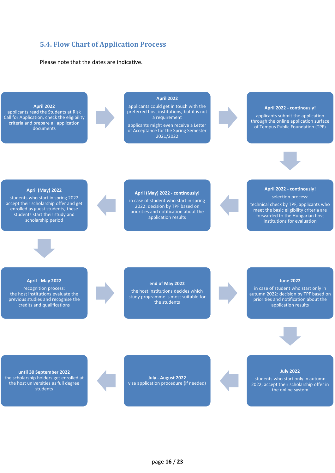## <span id="page-15-0"></span>**5.4. Flow Chart of Application Process**

#### Please note that the dates are indicative.

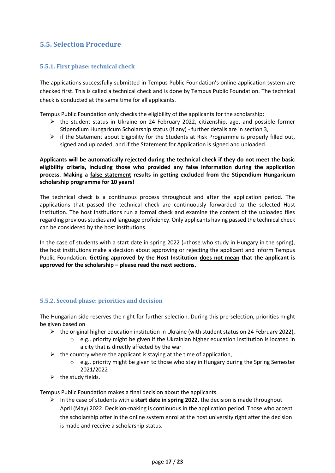## <span id="page-16-0"></span>**5.5. Selection Procedure**

#### <span id="page-16-1"></span>**5.5.1. First phase: technical check**

The applications successfully submitted in Tempus Public Foundation's online application system are checked first. This is called a technical check and is done by Tempus Public Foundation. The technical check is conducted at the same time for all applicants.

Tempus Public Foundation only checks the eligibility of the applicants for the scholarship:

- $\triangleright$  the student status in Ukraine on 24 February 2022, citizenship, age, and possible former Stipendium Hungaricum Scholarship status (if any) - further details are in section 3,
- $\triangleright$  if the Statement about Eligibility for the Students at Risk Programme is properly filled out, signed and uploaded, and if the Statement for Application is signed and uploaded.

**Applicants will be automatically rejected during the technical check if they do not meet the basic eligibility criteria, including those who provided any false information during the application process. Making a false statement results in getting excluded from the Stipendium Hungaricum scholarship programme for 10 years!** 

The technical check is a continuous process throughout and after the application period. The applications that passed the technical check are continuously forwarded to the selected Host Institution. The host institutions run a formal check and examine the content of the uploaded files regarding previous studies and language proficiency. Only applicants having passed the technical check can be considered by the host institutions.

In the case of students with a start date in spring 2022 (=those who study in Hungary in the spring), the host institutions make a decision about approving or rejecting the applicant and inform Tempus Public Foundation. **Getting approved by the Host Institution does not mean that the applicant is approved for the scholarship – please read the next sections.**

#### <span id="page-16-2"></span>**5.5.2. Second phase: priorities and decision**

The Hungarian side reserves the right for further selection. During this pre-selection, priorities might be given based on

- $\triangleright$  the original higher education institution in Ukraine (with student status on 24 February 2022),
	- o e.g., priority might be given if the Ukrainian higher education institution is located in a city that is directly affected by the war
- $\triangleright$  the country where the applicant is staying at the time of application,
	- $\circ$  e.g., priority might be given to those who stay in Hungary during the Spring Semester 2021/2022
- $\triangleright$  the study fields.

Tempus Public Foundation makes a final decision about the applicants.

 $\triangleright$  In the case of students with a **start date in spring 2022**, the decision is made throughout April (May) 2022. Decision-making is continuous in the application period. Those who accept the scholarship offer in the online system enrol at the host university right after the decision is made and receive a scholarship status.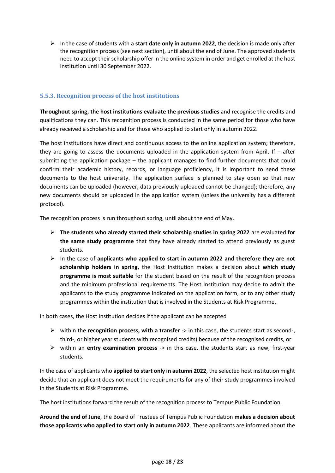➢ In the case of students with a **start date only in autumn 2022**, the decision is made only after the recognition process (see next section), until about the end of June. The approved students need to accept their scholarship offer in the online system in order and get enrolled at the host institution until 30 September 2022.

#### <span id="page-17-0"></span>**5.5.3. Recognition process of the host institutions**

**Throughout spring, the host institutions evaluate the previous studies** and recognise the credits and qualifications they can. This recognition process is conducted in the same period for those who have already received a scholarship and for those who applied to start only in autumn 2022.

The host institutions have direct and continuous access to the online application system; therefore, they are going to assess the documents uploaded in the application system from April. If – after submitting the application package – the applicant manages to find further documents that could confirm their academic history, records, or language proficiency, it is important to send these documents to the host university. The application surface is planned to stay open so that new documents can be uploaded (however, data previously uploaded cannot be changed); therefore, any new documents should be uploaded in the application system (unless the university has a different protocol).

The recognition process is run throughout spring, until about the end of May.

- ➢ **The students who already started their scholarship studies in spring 2022** are evaluated **for the same study programme** that they have already started to attend previously as guest students.
- ➢ In the case of **applicants who applied to start in autumn 2022 and therefore they are not scholarship holders in spring**, the Host Institution makes a decision about **which study programme is most suitable** for the student based on the result of the recognition process and the minimum professional requirements. The Host Institution may decide to admit the applicants to the study programme indicated on the application form, or to any other study programmes within the institution that is involved in the Students at Risk Programme.

In both cases, the Host Institution decides if the applicant can be accepted

- ➢ within the **recognition process, with a transfer** -> in this case, the students start as second-, third-, or higher year students with recognised credits) because of the recognised credits, or
- ➢ within an **entry examination process** -> in this case, the students start as new, first-year students.

In the case of applicants who **applied to start only in autumn 2022**, the selected host institution might decide that an applicant does not meet the requirements for any of their study programmes involved in the Students at Risk Programme.

The host institutions forward the result of the recognition process to Tempus Public Foundation.

**Around the end of June**, the Board of Trustees of Tempus Public Foundation **makes a decision about those applicants who applied to start only in autumn 2022**. These applicants are informed about the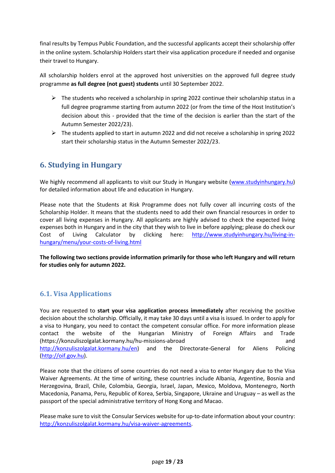final results by Tempus Public Foundation, and the successful applicants accept their scholarship offer in the online system. Scholarship Holders start their visa application procedure if needed and organise their travel to Hungary.

All scholarship holders enrol at the approved host universities on the approved full degree study programme **as full degree (not guest) students** until 30 September 2022.

- $\triangleright$  The students who received a scholarship in spring 2022 continue their scholarship status in a full degree programme starting from autumn 2022 (or from the time of the Host Institution's decision about this - provided that the time of the decision is earlier than the start of the Autumn Semester 2022/23).
- $\triangleright$  The students applied to start in autumn 2022 and did not receive a scholarship in spring 2022 start their scholarship status in the Autumn Semester 2022/23.

## <span id="page-18-0"></span>**6. Studying in Hungary**

We highly recommend all applicants to visit our Study in Hungary website [\(www.studyinhungary.hu\)](http://www.studyinhungary.hu/) for detailed information about life and education in Hungary.

Please note that the Students at Risk Programme does not fully cover all incurring costs of the Scholarship Holder. It means that the students need to add their own financial resources in order to cover all living expenses in Hungary. All applicants are highly advised to check the expected living expenses both in Hungary and in the city that they wish to live in before applying; please do check our Cost of Living Calculator by clicking here: [http://www.studyinhungary.hu/living-in](http://www.studyinhungary.hu/living-in-hungary/menu/your-costs-of-living.html)[hungary/menu/your-costs-of-living.html](http://www.studyinhungary.hu/living-in-hungary/menu/your-costs-of-living.html)

**The following two sections provide information primarily for those who left Hungary and will return for studies only for autumn 2022.** 

## <span id="page-18-1"></span>**6.1. Visa Applications**

You are requested to **start your visa application process immediately** after receiving the positive decision about the scholarship. Officially, it may take 30 days until a visa is issued. In order to apply for a visa to Hungary, you need to contact the competent consular office. For more information please contact the website of the Hungarian Ministry of Foreign Affairs and Trade (https://konzuliszolgalat.kormany.hu/hu-missions-abroad and [http://konzuliszolgalat.kormany.hu/en\)](http://konzuliszolgalat.kormany.hu/en) and the Directorate-General for Aliens Policing [\(http://oif.gov.hu\)](http://oif.gov.hu/).

Please note that the citizens of some countries do not need a visa to enter Hungary due to the Visa Waiver Agreements. At the time of writing, these countries include Albania, Argentine, Bosnia and Herzegovina, Brazil, Chile, Colombia, Georgia, Israel, Japan, Mexico, Moldova, Montenegro, North Macedonia, Panama, Peru, Republic of Korea, Serbia, Singapore, Ukraine and Uruguay – as well as the passport of the special administrative territory of Hong Kong and Macao.

Please make sure to visit the Consular Services website for up-to-date information about your country: [http://konzuliszolgalat.kormany.hu/visa-waiver-agreements.](http://konzuliszolgalat.kormany.hu/visa-waiver-agreements)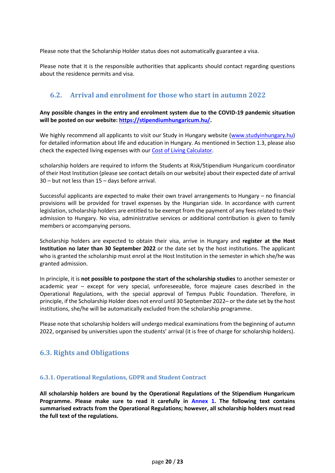Please note that the Scholarship Holder status does not automatically guarantee a visa.

Please note that it is the responsible authorities that applicants should contact regarding questions about the residence permits and visa.

## <span id="page-19-0"></span>**6.2. Arrival and enrolment for those who start in autumn 2022**

#### **Any possible changes in the entry and enrolment system due to the COVID-19 pandemic situation will be posted on our website[: https://stipendiumhungaricum.hu/.](https://stipendiumhungaricum.hu/)**

We highly recommend all applicants to visit our Study in Hungary website [\(www.studyinhungary.hu\)](http://www.studyinhungary.hu/) for detailed information about life and education in Hungary. As mentioned in Section 1.3, please also check the expected living expenses with our [Cost of Living Calculator.](http://www.studyinhungary.hu/living-in-hungary/menu/your-costs-of-living.html)

scholarship holders are required to inform the Students at Risk/Stipendium Hungaricum coordinator of their Host Institution (please see contact details on our website) about their expected date of arrival 30 – but not less than 15 – days before arrival.

Successful applicants are expected to make their own travel arrangements to Hungary – no financial provisions will be provided for travel expenses by the Hungarian side. In accordance with current legislation, scholarship holders are entitled to be exempt from the payment of any fees related to their admission to Hungary. No visa, administrative services or additional contribution is given to family members or accompanying persons.

Scholarship holders are expected to obtain their visa, arrive in Hungary and **register at the Host Institution no later than 30 September 2022** or the date set by the host institutions. The applicant who is granted the scholarship must enrol at the Host Institution in the semester in which she/he was granted admission.

In principle, it is **not possible to postpone the start of the scholarship studies** to another semester or academic year – except for very special, unforeseeable, force majeure cases described in the Operational Regulations, with the special approval of Tempus Public Foundation. Therefore, in principle, if the Scholarship Holder does not enrol until 30 September 2022– or the date set by the host institutions, she/he will be automatically excluded from the scholarship programme.

Please note that scholarship holders will undergo medical examinations from the beginning of autumn 2022, organised by universities upon the students' arrival (it is free of charge for scholarship holders).

## <span id="page-19-1"></span>**6.3. Rights and Obligations**

#### <span id="page-19-2"></span>**6.3.1. Operational Regulations, GDPR and Student Contract**

**All scholarship holders are bound by the Operational Regulations of the Stipendium Hungaricum Programme. Please make sure to read it carefully in [Annex 1.](#page-22-4) The following text contains summarised extracts from the Operational Regulations; however, all scholarship holders must read the full text of the regulations.**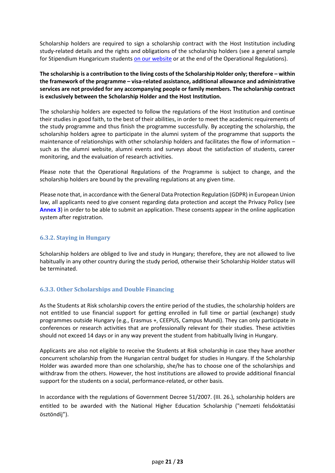Scholarship holders are required to sign a scholarship contract with the Host Institution including study-related details and the rights and obligations of the scholarship holders (see a general sample for Stipendium Hungaricum students [on our website](https://stipendiumhungaricum.hu/apply/) or at the end of the Operational Regulations).

**The scholarship is a contribution to the living costs of the Scholarship Holder only; therefore – within the framework of the programme – visa-related assistance, additional allowance and administrative services are not provided for any accompanying people or family members. The scholarship contract is exclusively between the Scholarship Holder and the Host Institution.**

The scholarship holders are expected to follow the regulations of the Host Institution and continue their studies in good faith, to the best of their abilities, in order to meet the academic requirements of the study programme and thus finish the programme successfully. By accepting the scholarship, the scholarship holders agree to participate in the alumni system of the programme that supports the maintenance of relationships with other scholarship holders and facilitates the flow of information – such as the alumni website, alumni events and surveys about the satisfaction of students, career monitoring, and the evaluation of research activities.

Please note that the Operational Regulations of the Programme is subject to change, and the scholarship holders are bound by the prevailing regulations at any given time.

Please note that, in accordance with the General Data Protection Regulation (GDPR) in European Union law, all applicants need to give consent regarding data protection and accept the Privacy Policy (se[e](#page-22-5) **[Annex 3](#page-22-5)**) in order to be able to submit an application. These consents appear in the online application system after registration.

#### <span id="page-20-0"></span>**6.3.2. Staying in Hungary**

Scholarship holders are obliged to live and study in Hungary; therefore, they are not allowed to live habitually in any other country during the study period, otherwise their Scholarship Holder status will be terminated.

#### <span id="page-20-1"></span>**6.3.3. Other Scholarships and Double Financing**

As the Students at Risk scholarship covers the entire period of the studies, the scholarship holders are not entitled to use financial support for getting enrolled in full time or partial (exchange) study programmes outside Hungary (e.g., Erasmus +, CEEPUS, Campus Mundi). They can only participate in conferences or research activities that are professionally relevant for their studies. These activities should not exceed 14 days or in any way prevent the student from habitually living in Hungary.

Applicants are also not eligible to receive the Students at Risk scholarship in case they have another concurrent scholarship from the Hungarian central budget for studies in Hungary. If the Scholarship Holder was awarded more than one scholarship, she/he has to choose one of the scholarships and withdraw from the others. However, the host institutions are allowed to provide additional financial support for the students on a social, performance-related, or other basis.

In accordance with the regulations of Government Decree 51/2007. (III. 26.), scholarship holders are entitled to be awarded with the National Higher Education Scholarship ("nemzeti felsőoktatási ösztöndíj").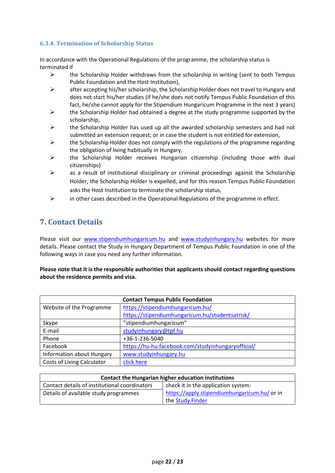#### <span id="page-21-0"></span>**6.3.4. Termination of Scholarship Status**

In accordance with the Operational Regulations of the programme, the scholarship status is terminated if

- $\triangleright$  the Scholarship Holder withdraws from the scholarship in writing (sent to both Tempus Public Foundation and the Host Institution),
- $\triangleright$  after accepting his/her scholarship, the Scholarship Holder does not travel to Hungary and does not start his/her studies (if he/she does not notify Tempus Public Foundation of this fact, he/she cannot apply for the Stipendium Hungaricum Programme in the next 3 years)
- $\triangleright$  the Scholarship Holder had obtained a degree at the study programme supported by the scholarship,
- $\triangleright$  the Scholarship Holder has used up all the awarded scholarship semesters and had not submitted an extension request; or in case the student is not entitled for extension,
- $\triangleright$  the Scholarship Holder does not comply with the regulations of the programme regarding the obligation of living habitually in Hungary,
- $\triangleright$  the Scholarship Holder receives Hungarian citizenship (including those with dual citizenships)
- ➢ as a result of institutional disciplinary or criminal proceedings against the Scholarship Holder, the Scholarship Holder is expelled, and for this reason Tempus Public Foundation asks the Host Institution to terminate the scholarship status,
- $\triangleright$  in other cases described in the Operational Regulations of the programme in effect.

# <span id="page-21-1"></span>**7. Contact Details**

Please visit our [www.stipendiumhungaricum.hu](http://www.stipendiumhungaricum.hu/) and [www.studyinhungary.hu](http://www.studyinhungary.hu/) websites for more details. Please contact the Study in Hungary Department of Tempus Public Foundation in one of the following ways in case you need any further information.

#### **Please note that it is the responsible authorities that applicants should contact regarding questions about the residence permits and visa.**

| <b>Contact Tempus Public Foundation</b> |                                                    |  |
|-----------------------------------------|----------------------------------------------------|--|
| Website of the Programme                | https://stipendiumhungaricum.hu/                   |  |
|                                         | https://stipendiumhungaricum.hu/studentsatrisk/    |  |
| Skype                                   | "stipendiumhungaricum"                             |  |
| E-mail                                  | studyinhungary@tpf.hu                              |  |
| Phone                                   | +36-1-236-5040                                     |  |
| Facebook                                | https://hu-hu.facebook.com/studyinhungaryofficial/ |  |
| <b>Information about Hungary</b>        | www.studyinhungary.hu                              |  |
| Costs of Living Calculator              | click here                                         |  |

| <b>Contact the Hungarian higher education institutions</b> |                                              |  |
|------------------------------------------------------------|----------------------------------------------|--|
| Contact details of institutional coordinators              | check it in the application system:          |  |
| Details of available study programmes                      | https://apply.stipendiumhungaricum.hu/ or in |  |
|                                                            | the Study Finder                             |  |